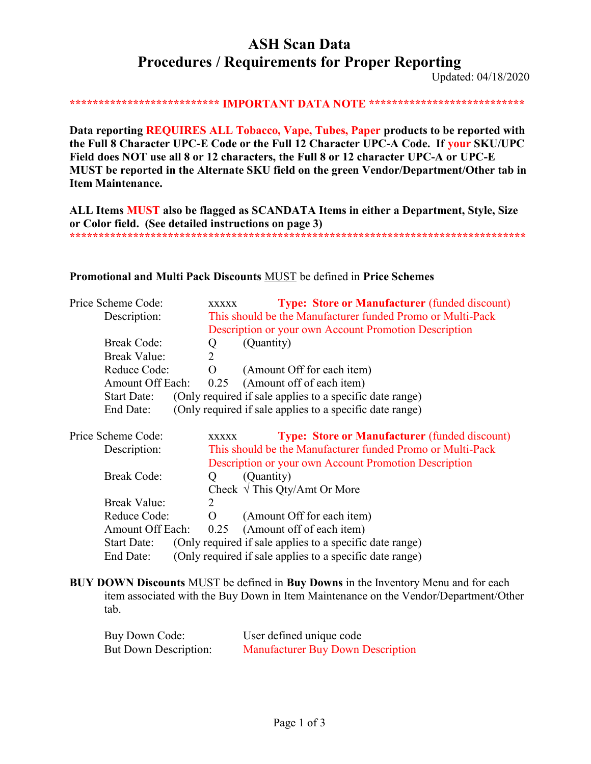# **ASH Scan Data Procedures / Requirements for Proper Reporting**

Updated: 04/18/2020

\*\*\*\*\*\*\*\*\*\*\*\*\*\*\*\*\*\*\*\*\*\*\*\*\* IMPORTANT DATA NOTE \*\*\*\*\*\*\*\*\*\*\*\*\*\*\*\*\*\*\*\*\*\*\*\*\*\*\*\*

Data reporting REQUIRES ALL Tobacco, Vape, Tubes, Paper products to be reported with the Full 8 Character UPC-E Code or the Full 12 Character UPC-A Code. If your SKU/UPC Field does NOT use all 8 or 12 characters, the Full 8 or 12 character UPC-A or UPC-E MUST be reported in the Alternate SKU field on the green Vendor/Department/Other tab in **Item Maintenance.** 

ALL Items MUST also be flagged as SCANDATA Items in either a Department, Style, Size or Color field. (See detailed instructions on page 3) 

### Promotional and Multi Pack Discounts MUST be defined in Price Schemes

| Price Scheme Code:      | <b>XXXXX</b>   | <b>Type: Store or Manufacturer (funded discount)</b>       |
|-------------------------|----------------|------------------------------------------------------------|
| Description:            |                | This should be the Manufacturer funded Promo or Multi-Pack |
|                         |                | Description or your own Account Promotion Description      |
| <b>Break Code:</b>      | Q              | (Quantity)                                                 |
| <b>Break Value:</b>     | $\overline{2}$ |                                                            |
| Reduce Code:            | $\Omega$       | (Amount Off for each item)                                 |
| <b>Amount Off Each:</b> | 0.25           | (Amount off of each item)                                  |
| <b>Start Date:</b>      |                | (Only required if sale applies to a specific date range)   |
| End Date:               |                | (Only required if sale applies to a specific date range)   |
| Price Scheme Code:      | <b>XXXXX</b>   | <b>Type: Store or Manufacturer</b> (funded discount)       |
| Description:            |                | This should be the Manufacturer funded Promo or Multi-Pack |
|                         |                | Description or your own Account Promotion Description      |
| <b>Break Code:</b>      | $\circ$        | (Quantity)                                                 |
|                         |                | Check $\sqrt{\text{This Qty}}$ Amt Or More                 |
| <b>Break Value:</b>     | 2              |                                                            |
| Reduce Code:            | O              | (Amount Off for each item)                                 |
| <b>Amount Off Each:</b> | 0.25           | (Amount off of each item)                                  |
| <b>Start Date:</b>      |                | (Only required if sale applies to a specific date range)   |
| End Date:               |                | (Only required if sale applies to a specific date range)   |

BUY DOWN Discounts MUST be defined in Buy Downs in the Inventory Menu and for each item associated with the Buy Down in Item Maintenance on the Vendor/Department/Other tab.

| Buy Down Code:        | User defined unique code                 |
|-----------------------|------------------------------------------|
| But Down Description: | <b>Manufacturer Buy Down Description</b> |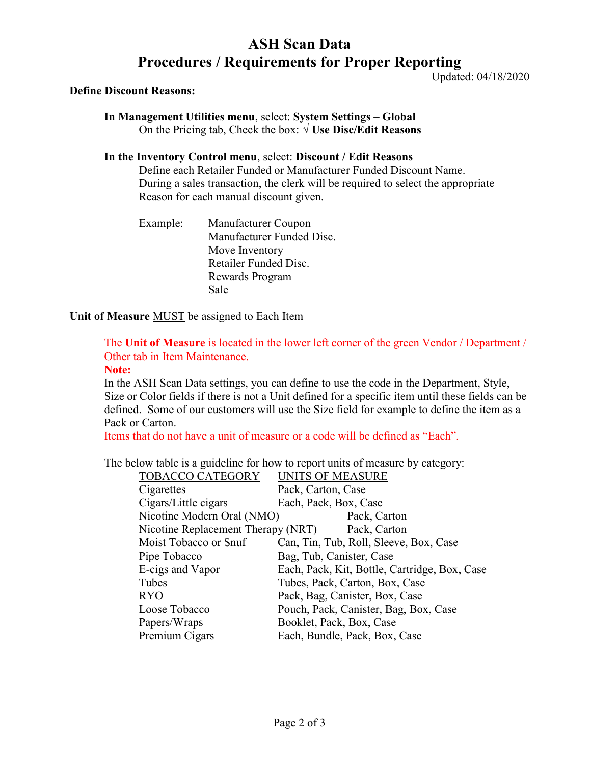## ASH Scan Data Procedures / Requirements for Proper Reporting

Updated: 04/18/2020

### Define Discount Reasons:

In Management Utilities menu, select: System Settings – Global On the Pricing tab, Check the box:  $\sqrt{U}$ **Se Disc/Edit Reasons** 

### In the Inventory Control menu, select: Discount / Edit Reasons

Define each Retailer Funded or Manufacturer Funded Discount Name. During a sales transaction, the clerk will be required to select the appropriate Reason for each manual discount given.

Example: Manufacturer Coupon Manufacturer Funded Disc. Move Inventory Retailer Funded Disc. Rewards Program Sale

### Unit of Measure **MUST** be assigned to Each Item

## The Unit of Measure is located in the lower left corner of the green Vendor / Department / Other tab in Item Maintenance.

#### Note:

In the ASH Scan Data settings, you can define to use the code in the Department, Style, Size or Color fields if there is not a Unit defined for a specific item until these fields can be defined. Some of our customers will use the Size field for example to define the item as a Pack or Carton.

Items that do not have a unit of measure or a code will be defined as "Each".

The below table is a guideline for how to report units of measure by category:

| <b>TOBACCO CATEGORY</b>            | <b>UNITS OF MEASURE</b>                       |
|------------------------------------|-----------------------------------------------|
| Cigarettes                         | Pack, Carton, Case                            |
| Cigars/Little cigars               | Each, Pack, Box, Case                         |
| Nicotine Modern Oral (NMO)         | Pack, Carton                                  |
| Nicotine Replacement Therapy (NRT) | Pack, Carton                                  |
| Moist Tobacco or Snuf              | Can, Tin, Tub, Roll, Sleeve, Box, Case        |
| Pipe Tobacco                       | Bag, Tub, Canister, Case                      |
| E-cigs and Vapor                   | Each, Pack, Kit, Bottle, Cartridge, Box, Case |
| Tubes                              | Tubes, Pack, Carton, Box, Case                |
| <b>RYO</b>                         | Pack, Bag, Canister, Box, Case                |
| Loose Tobacco                      | Pouch, Pack, Canister, Bag, Box, Case         |
| Papers/Wraps                       | Booklet, Pack, Box, Case                      |
| Premium Cigars                     | Each, Bundle, Pack, Box, Case                 |